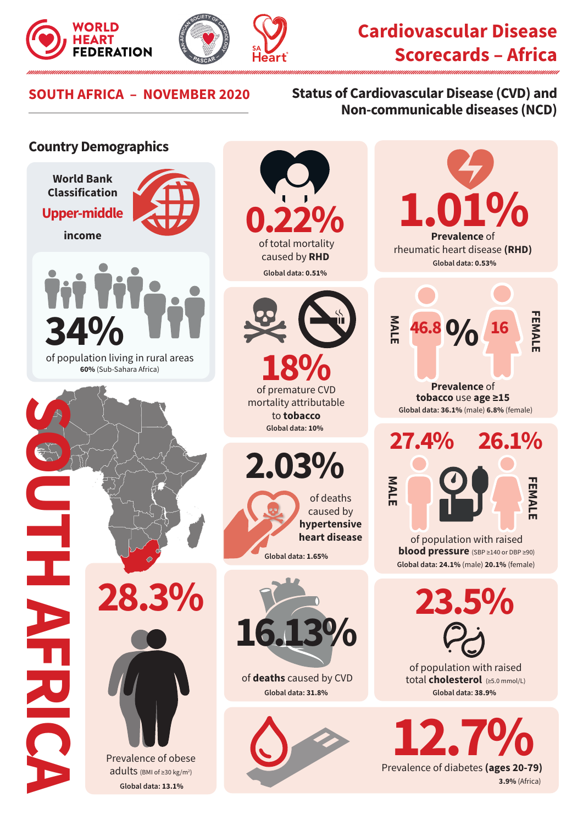



to **tobacco**

of deaths caused by **hypertensive heart disease**

## **FEART CARDINAL SALUM SALUM SCORE SCORE AFRICA 4**<br>FEDERATION 84, SALUM SCORECARDS - Africa **Scorecards – Africa**

**Prevalence** of rheumatic heart disease **(RHD)** 

**Global data: 0.53%** 

1.01%

**46.8** 0/<sub>0</sub> 16

**MALE** 

of population with raised **blood pressure** (SBP ≥140 or DBP ≥90)

**Global data: 24.1%** (male) **20.1%** (female)

**27.4% 26.1%**

**Prevalence** of **tobacco** use **age ≥15**

**Global data: 36.1%** (male) **6.8%** (female)

**FEMALE**

**FEMALI** 

**23.5%**

of population with raised total **cholesterol** (≥5.0 mmol/L)

**Global data: 38.9%**

**12.7%**<br>Prevalence of diabetes (ages 20-79)

**3.9%** (Africa)

## **SOUTH AFRICA – NOVEMBER 2020 Status of Cardiovascular Disease (CVD) and Non-communicable diseases (NCD)**

## **Country Demographics**